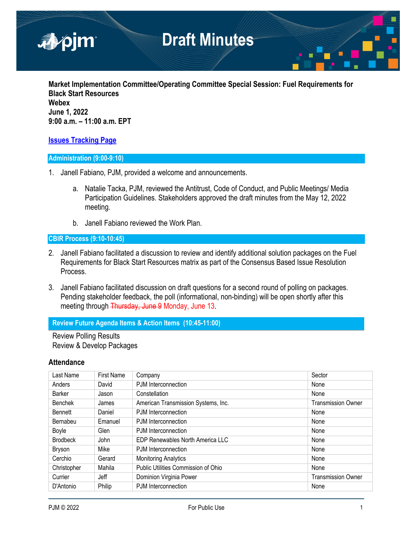

**Market Implementation Committee/Operating Committee Special Session: Fuel Requirements for Black Start Resources Webex June 1, 2022 9:00 a.m. – 11:00 a.m. EPT**

# **[Issues Tracking Page](https://www.pjm.com/committees-and-groups/issue-tracking/issue-tracking-details.aspx?Issue=b7f726e1-9f06-414e-8516-4d69b5050af4)**

## **Administration (9:00-9:10)**

- 1. Janell Fabiano, PJM, provided a welcome and announcements.
	- a. Natalie Tacka, PJM, reviewed the Antitrust, Code of Conduct, and Public Meetings/ Media Participation Guidelines. Stakeholders approved the draft minutes from the May 12, 2022 meeting.
	- b. Janell Fabiano reviewed the Work Plan.

### **CBIR Process (9:10-10:45)**

- 2. Janell Fabiano facilitated a discussion to review and identify additional solution packages on the Fuel Requirements for Black Start Resources matrix as part of the Consensus Based Issue Resolution Process.
- 3. Janell Fabiano facilitated discussion on draft questions for a second round of polling on packages. Pending stakeholder feedback, the poll (informational, non-binding) will be open shortly after this meeting through Thursday, June 9 Monday, June 13.

## **Review Future Agenda Items & Action Items (10:45-11:00)**

Review Polling Results Review & Develop Packages

## **Attendance**

| Last Name       | <b>First Name</b> | Company                             | Sector                    |
|-----------------|-------------------|-------------------------------------|---------------------------|
| Anders          | David             | PJM Interconnection                 | None                      |
| <b>Barker</b>   | Jason             | Constellation                       | None                      |
| <b>Benchek</b>  | James             | American Transmission Systems, Inc. | <b>Transmission Owner</b> |
| <b>Bennett</b>  | Daniel            | PJM Interconnection                 | None                      |
| Bernabeu        | Emanuel           | PJM Interconnection                 | None                      |
| Boyle           | Glen              | PJM Interconnection                 | None                      |
| <b>Brodbeck</b> | John              | EDP Renewables North America LLC    | None                      |
| Bryson          | Mike              | PJM Interconnection                 | None                      |
| Cerchio         | Gerard            | <b>Monitoring Analytics</b>         | None                      |
| Christopher     | Mahila            | Public Utilities Commission of Ohio | None                      |
| Currier         | Jeff              | Dominion Virginia Power             | <b>Transmission Owner</b> |
| D'Antonio       | Philip            | PJM Interconnection                 | None                      |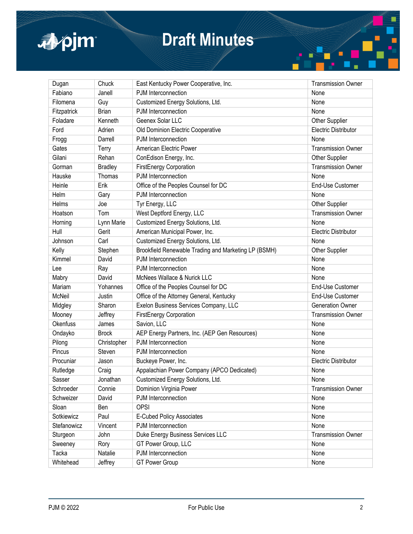

# **Draft Minutes**

| Dugan           | Chuck          | East Kentucky Power Cooperative, Inc.                | <b>Transmission Owner</b>   |
|-----------------|----------------|------------------------------------------------------|-----------------------------|
| Fabiano         | Janell         | PJM Interconnection                                  | None                        |
| Filomena        | Guy            | Customized Energy Solutions, Ltd.                    | None                        |
| Fitzpatrick     | <b>Brian</b>   | PJM Interconnection                                  | None                        |
| Foladare        | Kenneth        | Geenex Solar LLC                                     | Other Supplier              |
| Ford            | Adrien         | Old Dominion Electric Cooperative                    | <b>Electric Distributor</b> |
| Frogg           | Darrell        | PJM Interconnection                                  | None                        |
| Gates           | Terry          | American Electric Power                              | <b>Transmission Owner</b>   |
| Gilani          | Rehan          | ConEdison Energy, Inc.                               | Other Supplier              |
| Gorman          | <b>Bradley</b> | FirstEnergy Corporation                              | <b>Transmission Owner</b>   |
| Hauske          | Thomas         | PJM Interconnection                                  | None                        |
| Heinle          | Erik           | Office of the Peoples Counsel for DC                 | End-Use Customer            |
| Helm            | Gary           | PJM Interconnection                                  | None                        |
| Helms           | Joe            | Tyr Energy, LLC                                      | Other Supplier              |
| Hoatson         | Tom            | West Deptford Energy, LLC                            | <b>Transmission Owner</b>   |
| Horning         | Lynn Marie     | Customized Energy Solutions, Ltd.                    | None                        |
| Hull            | Gerit          | American Municipal Power, Inc.                       | <b>Electric Distributor</b> |
| Johnson         | Carl           | Customized Energy Solutions, Ltd.                    | None                        |
| Kelly           | Stephen        | Brookfield Renewable Trading and Marketing LP (BSMH) | Other Supplier              |
| Kimmel          | David          | PJM Interconnection                                  | None                        |
| Lee             | Ray            | PJM Interconnection                                  | None                        |
| Mabry           | David          | McNees Wallace & Nurick LLC                          | None                        |
| Mariam          | Yohannes       | Office of the Peoples Counsel for DC                 | End-Use Customer            |
| McNeil          | Justin         | Office of the Attorney General, Kentucky             | End-Use Customer            |
| Midgley         | Sharon         | Exelon Business Services Company, LLC                | <b>Generation Owner</b>     |
| Mooney          | Jeffrey        | FirstEnergy Corporation                              | <b>Transmission Owner</b>   |
| <b>Okenfuss</b> | James          | Savion, LLC                                          | None                        |
| Ondayko         | <b>Brock</b>   | AEP Energy Partners, Inc. (AEP Gen Resources)        | None                        |
| Pilong          | Christopher    | PJM Interconnection                                  | None                        |
| Pincus          | Steven         | PJM Interconnection                                  | None                        |
| Procuniar       | Jason          | Buckeye Power, Inc.                                  | <b>Electric Distributor</b> |
| Rutledge        | Craig          | Appalachian Power Company (APCO Dedicated)           | None                        |
| Sasser          | Jonathan       | Customized Energy Solutions, Ltd.                    | None                        |
| Schroeder       | Connie         | Dominion Virginia Power                              | <b>Transmission Owner</b>   |
| Schweizer       | David          | PJM Interconnection                                  | None                        |
| Sloan           | Ben            | <b>OPSI</b>                                          | None                        |
| Sotkiewicz      | Paul           | <b>E-Cubed Policy Associates</b>                     | None                        |
| Stefanowicz     | Vincent        | PJM Interconnection                                  | None                        |
| Sturgeon        | John           | Duke Energy Business Services LLC                    | <b>Transmission Owner</b>   |
| Sweeney         | Rory           | GT Power Group, LLC                                  | None                        |
| Tacka           | Natalie        | PJM Interconnection                                  | None                        |
| Whitehead       | Jeffrey        | <b>GT Power Group</b>                                | None                        |

*As of June 2, 2022*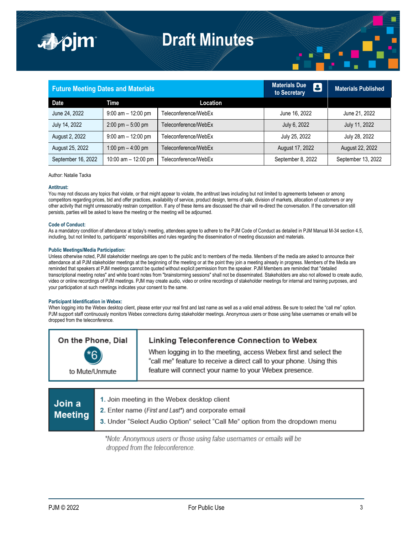



| <b>Future Meeting Dates and Materials</b> |                                     |                      | <b>Materials Due</b><br>8<br>to Secretary | Materials Published |
|-------------------------------------------|-------------------------------------|----------------------|-------------------------------------------|---------------------|
| <b>Date</b>                               | Time                                | Location             |                                           |                     |
| June 24, 2022                             | $9:00$ am $-12:00$ pm               | Teleconference/WebEx | June 16, 2022                             | June 21, 2022       |
| July 14, 2022                             | $2:00 \text{ pm} - 5:00 \text{ pm}$ | Teleconference/WebEx | July 6, 2022                              | July 11, 2022       |
| August 2, 2022                            | $9:00$ am $-12:00$ pm               | Teleconference/WebEx | July 25, 2022                             | July 28, 2022       |
| August 25, 2022                           | 1:00 pm $-$ 4:00 pm                 | Teleconference/WebEx | August 17, 2022                           | August 22, 2022     |
| September 16, 2022                        | 10:00 am $-$ 12:00 pm               | Teleconference/WebEx | September 8, 2022                         | September 13, 2022  |

Author: Natalie Tacka

■pim

### **Antitrust:**

You may not discuss any topics that violate, or that might appear to violate, the antitrust laws including but not limited to agreements between or among competitors regarding prices, bid and offer practices, availability of service, product design, terms of sale, division of markets, allocation of customers or any other activity that might unreasonably restrain competition. If any of these items are discussed the chair will re-direct the conversation. If the conversation still persists, parties will be asked to leave the meeting or the meeting will be adjourned.

#### **Code of Conduct:**

As a mandatory condition of attendance at today's meeting, attendees agree to adhere to the PJM Code of Conduct as detailed in PJM Manual M-34 section 4.5, including, but not limited to, participants' responsibilities and rules regarding the dissemination of meeting discussion and materials.

### **Public Meetings/Media Participation:**

Unless otherwise noted, PJM stakeholder meetings are open to the public and to members of the media. Members of the media are asked to announce their attendance at all PJM stakeholder meetings at the beginning of the meeting or at the point they join a meeting already in progress. Members of the Media are reminded that speakers at PJM meetings cannot be quoted without explicit permission from the speaker. PJM Members are reminded that "detailed transcriptional meeting notes" and white board notes from "brainstorming sessions" shall not be disseminated. Stakeholders are also not allowed to create audio, video or online recordings of PJM meetings. PJM may create audio, video or online recordings of stakeholder meetings for internal and training purposes, and your participation at such meetings indicates your consent to the same.

### **Participant Identification in Webex:**

When logging into the Webex desktop client, please enter your real first and last name as well as a valid email address. Be sure to select the "call me" option. PJM support staff continuously monitors Webex connections during stakeholder meetings. Anonymous users or those using false usernames or emails will be dropped from the teleconference.

| On the Phone, Dial<br>$*6$<br>to Mute/Unmute | Linking Teleconference Connection to Webex<br>When logging in to the meeting, access Webex first and select the<br>"call me" feature to receive a direct call to your phone. Using this<br>feature will connect your name to your Webex presence. |
|----------------------------------------------|---------------------------------------------------------------------------------------------------------------------------------------------------------------------------------------------------------------------------------------------------|
|                                              |                                                                                                                                                                                                                                                   |
|                                              | Loin meeting in the Webey dealthan eliant                                                                                                                                                                                                         |

| <b>Join</b> a  | 1. Join meeting in the Webex desktop client                                   |
|----------------|-------------------------------------------------------------------------------|
| <b>Meeting</b> | 2. Enter name (First and Last*) and corporate email                           |
|                | 3. Under "Select Audio Option" select "Call Me" option from the dropdown menu |
|                |                                                                               |

\*Note: Anonymous users or those using false usernames or emails will be dropped from the teleconference.